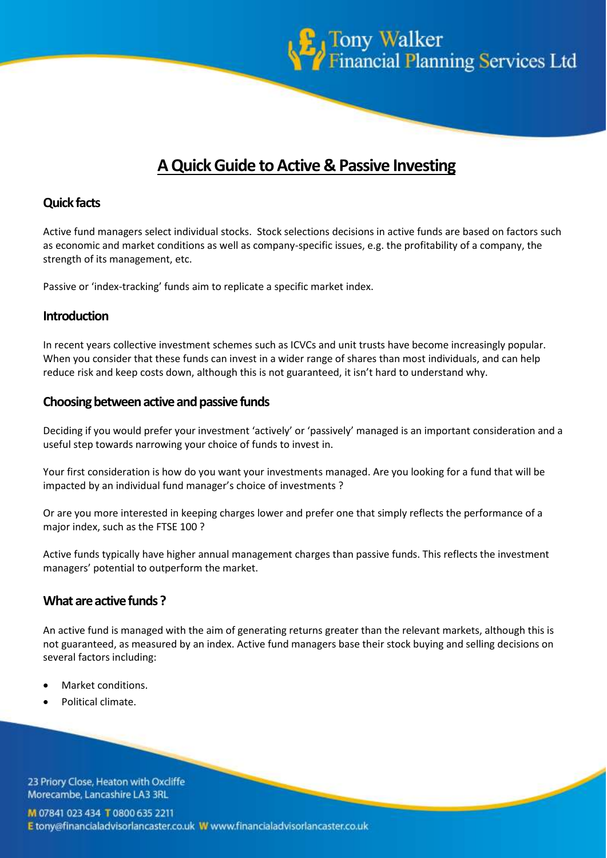

# **A Quick Guide to Active & Passive Investing**

# **Quick facts**

Active fund managers select individual stocks. Stock selections decisions in active funds are based on factors such as economic and market conditions as well as company-specific issues, e.g. the profitability of a company, the strength of its management, etc.

Passive or 'index-tracking' funds aim to replicate a specific market index.

#### **Introduction**

In recent years collective investment schemes such as ICVCs and unit trusts have become increasingly popular. When you consider that these funds can invest in a wider range of shares than most individuals, and can help reduce risk and keep costs down, although this is not guaranteed, it isn't hard to understand why.

#### **Choosing between active and passive funds**

Deciding if you would prefer your investment 'actively' or 'passively' managed is an important consideration and a useful step towards narrowing your choice of funds to invest in.

Your first consideration is how do you want your investments managed. Are you looking for a fund that will be impacted by an individual fund manager's choice of investments ?

Or are you more interested in keeping charges lower and prefer one that simply reflects the performance of a major index, such as the FTSE 100 ?

Active funds typically have higher annual management charges than passive funds. This reflects the investment managers' potential to outperform the market.

# **What are active funds ?**

An active fund is managed with the aim of generating returns greater than the relevant markets, although this is not guaranteed, as measured by an index. Active fund managers base their stock buying and selling decisions on several factors including:

- Market conditions.
- Political climate.

23 Priory Close, Heaton with Oxcliffe Morecambe, Lancashire LA3 3RL

M 07841 023 434 T 0800 635 2211 E tony@financialadvisorlancaster.co.uk W www.financialadvisorlancaster.co.uk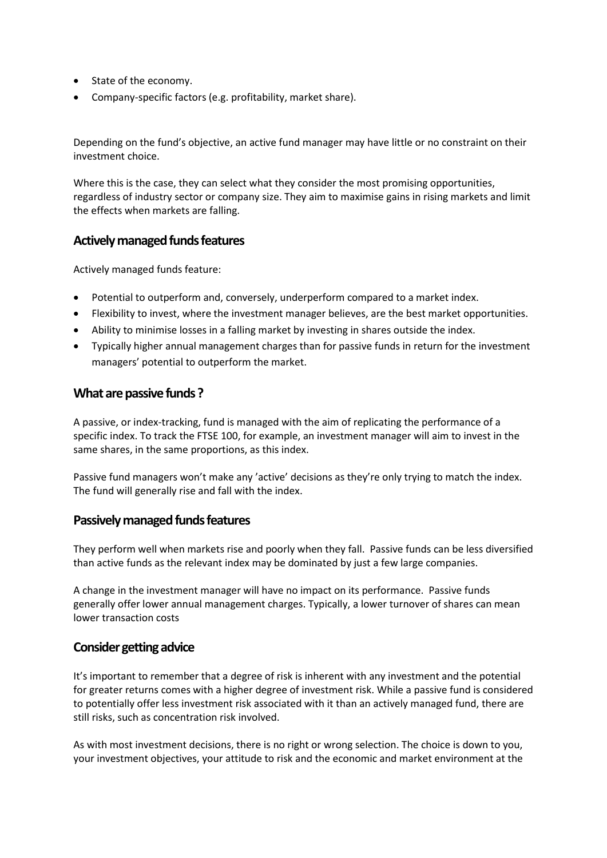- State of the economy.
- Company-specific factors (e.g. profitability, market share).

Depending on the fund's objective, an active fund manager may have little or no constraint on their investment choice.

Where this is the case, they can select what they consider the most promising opportunities, regardless of industry sector or company size. They aim to maximise gains in rising markets and limit the effects when markets are falling.

# **Actively managed funds features**

Actively managed funds feature:

- Potential to outperform and, conversely, underperform compared to a market index.
- Flexibility to invest, where the investment manager believes, are the best market opportunities.
- Ability to minimise losses in a falling market by investing in shares outside the index.
- Typically higher annual management charges than for passive funds in return for the investment managers' potential to outperform the market.

#### **What are passive funds ?**

A passive, or index-tracking, fund is managed with the aim of replicating the performance of a specific index. To track the FTSE 100, for example, an investment manager will aim to invest in the same shares, in the same proportions, as this index.

Passive fund managers won't make any 'active' decisions as they're only trying to match the index. The fund will generally rise and fall with the index.

# **Passively managed funds features**

They perform well when markets rise and poorly when they fall. Passive funds can be less diversified than active funds as the relevant index may be dominated by just a few large companies.

A change in the investment manager will have no impact on its performance. Passive funds generally offer lower annual management charges. Typically, a lower turnover of shares can mean lower transaction costs

# **Consider getting advice**

It's important to remember that a degree of risk is inherent with any investment and the potential for greater returns comes with a higher degree of investment risk. While a passive fund is considered to potentially offer less investment risk associated with it than an actively managed fund, there are still risks, such as concentration risk involved.

As with most investment decisions, there is no right or wrong selection. The choice is down to you, your investment objectives, your attitude to risk and the economic and market environment at the